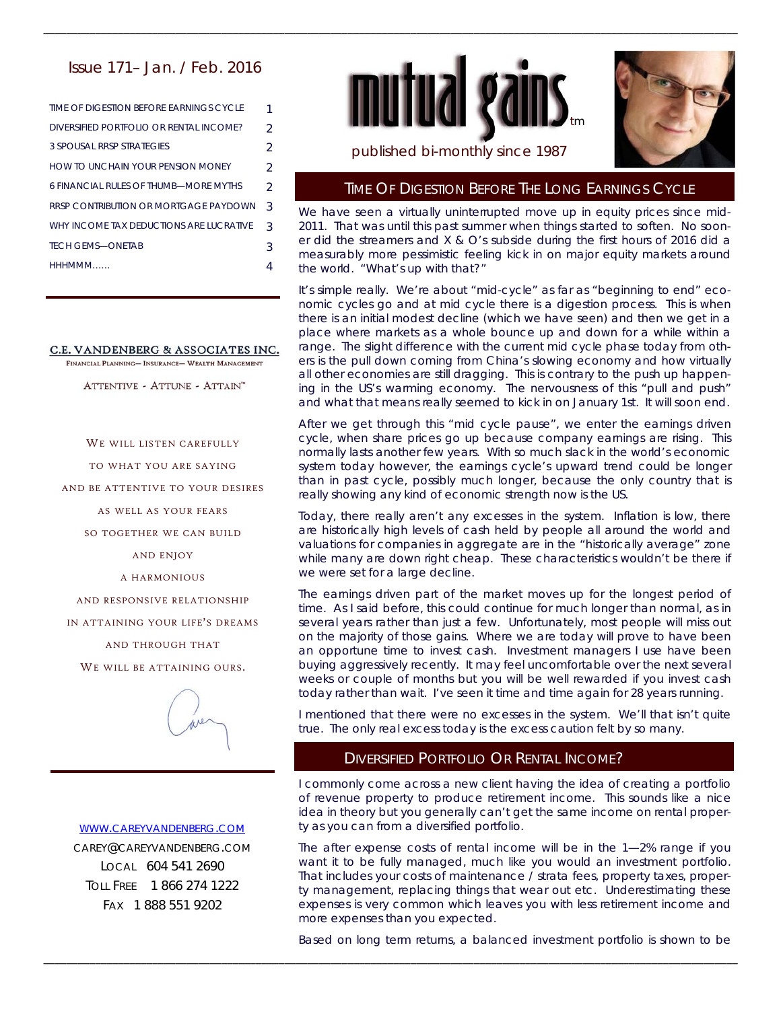# Issue 171– Jan. / Feb. 2016

| TIME OF DIGESTION BEFORE EARNINGS CYCLE | 1              |
|-----------------------------------------|----------------|
| DIVERSIFIED PORTEOLIO OR RENTAL INCOME? | $\mathfrak{D}$ |
| 3 SPOUSAL RRSP STRATEGIES               | $\mathcal{P}$  |
| HOW TO UNCHAIN YOUR PENSION MONEY       | $\mathcal{P}$  |
| 6 FINANCIAL RUI ES OF THUMB—MORE MYTHS  | $\mathcal{P}$  |
| RRSP CONTRIBUTION OR MORTGAGE PAYDOWN   | 3              |
| WHY INCOME TAX DEDUCTIONS ARE LUCRATIVE | 3              |
| <b>TECH GEMS-ONETAB</b>                 | 3              |
| HHHMMM                                  |                |

#### C.E. VANDENBERG & ASSOCIATES INC.

FINANCIAL PLANNING- INSURANCE- WEALTH MANAGEMENT

ATTENTIVE - ATTUNE - ATTAIN"

WE WILL LISTEN CAREFULLY

TO WHAT YOU ARE SAYING

AND BE ATTENTIVE TO YOUR DESIRES

AS WELL AS YOUR FEARS

SO TOGETHER WE CAN BUILD

AND ENJOY

A HARMONIOUS

AND RESPONSIVE RELATIONSHIP

IN ATTAINING YOUR LIFE'S DREAMS

AND THROUGH THAT

WE WILL BE ATTAINING OURS.



#### WWW.CAREYVANDENBERG.COM

CAREY@CAREYVANDENBERG.COM LOCAL 604 541 2690 TOLL FREE 1 866 274 1222 FAX 1 888 551 9202



\_\_\_\_\_\_\_\_\_\_\_\_\_\_\_\_\_\_\_\_\_\_\_\_\_\_\_\_\_\_\_\_\_\_\_\_\_\_\_\_\_\_\_\_\_\_\_\_\_\_\_\_\_\_\_\_\_\_\_\_\_\_\_\_\_\_\_\_\_\_\_\_\_\_\_\_\_\_\_\_\_\_\_\_\_\_\_\_\_\_\_\_\_\_\_\_\_\_\_\_\_\_\_\_\_\_\_\_\_\_\_\_\_\_\_\_\_\_\_\_\_



### published bi-monthly since 1987

# TIME OF DIGESTION BEFORE THE LONG EARNINGS CYCLE

We have seen a virtually uninterrupted move up in equity prices since mid-2011. That was until this past summer when things started to soften. No sooner did the streamers and X & O's subside during the first hours of 2016 did a measurably more pessimistic feeling kick in on major equity markets around the world. "What's up with that?"

It's simple really. We're about "mid-cycle" as far as "beginning to end" economic cycles go and at mid cycle there is a digestion process. This is when there is an initial modest decline (which we have seen) and then we get in a place where markets as a whole bounce up and down for a while within a range. The slight difference with the current mid cycle phase today from others is the pull down coming from China's slowing economy and how virtually all other economies are still dragging. This is contrary to the push up happening in the US's warming economy. The nervousness of this "pull and push" and what that means really seemed to kick in on January 1st. It will soon end.

After we get through this "mid cycle pause", we enter the earnings driven cycle, when share prices go up because company earnings are rising. This normally lasts another few years. With so much slack in the world's economic system today however, the earnings cycle's upward trend could be longer than in past cycle, possibly much longer, because the only country that is really showing any kind of economic strength now is the US.

Today, there really aren't any excesses in the system. Inflation is low, there are historically high levels of cash held by people all around the world and valuations for companies in aggregate are in the "historically average" zone while many are down right cheap. These characteristics wouldn't be there if we were set for a large decline.

The earnings driven part of the market moves up for the longest period of time. As I said before, this could continue for much longer than normal, as in several years rather than just a few. Unfortunately, most people will miss out on the majority of those gains. Where we are today will prove to have been an opportune time to invest cash. Investment managers I use have been buying aggressively recently. It may feel uncomfortable over the next several weeks or couple of months but you will be well rewarded if you invest cash today rather than wait. I've seen it time and time again for 28 years running.

I mentioned that there were no excesses in the system. We'll that isn't quite true. The only real excess today is the excess caution felt by so many.

# DIVERSIFIED PORTFOLIO OR RENTAL INCOME?

I commonly come across a new client having the idea of creating a portfolio of revenue property to produce retirement income. This sounds like a nice idea in theory but you generally can't get the same income on rental property as you can from a diversified portfolio.

The after expense costs of rental income will be in the 1—2% range if you want it to be fully managed, much like you would an investment portfolio. That includes your costs of maintenance / strata fees, property taxes, property management, replacing things that wear out etc. Underestimating these expenses is very common which leaves you with less retirement income and more expenses than you expected.

Based on long term returns, a balanced investment portfolio is shown to be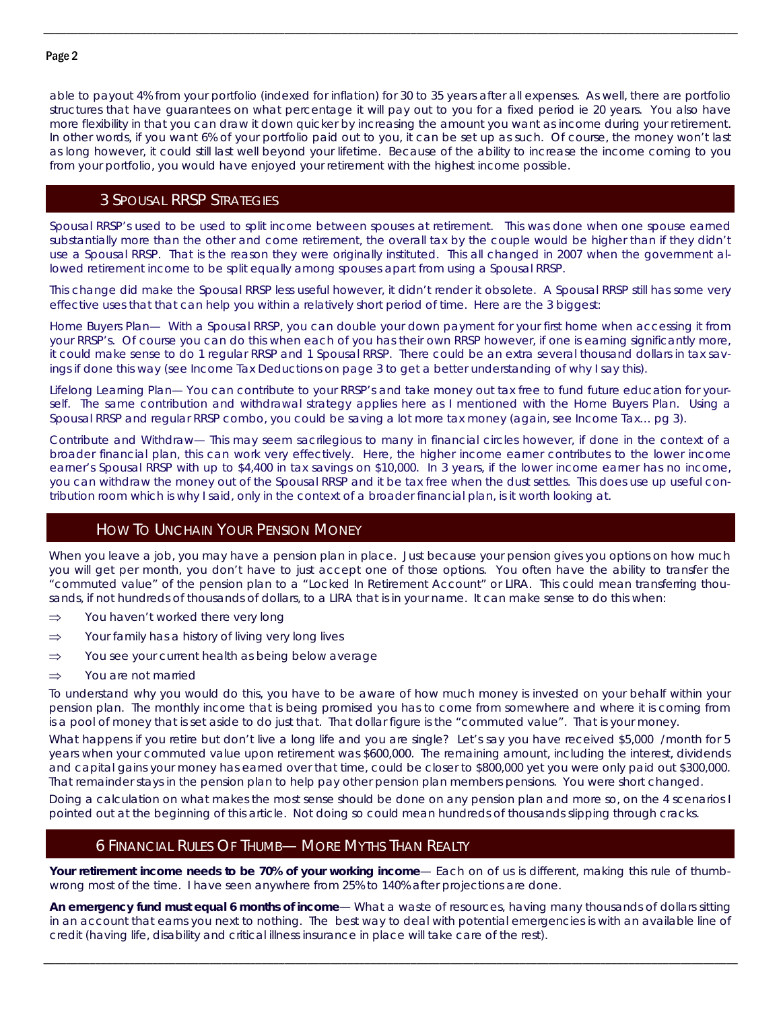### Page 2

able to payout 4% from your portfolio (indexed for inflation) for 30 to 35 years after all expenses. As well, there are portfolio structures that have guarantees on what percentage it will pay out to you for a fixed period ie 20 years. You also have more flexibility in that you can draw it down quicker by increasing the amount you want as income during your retirement. In other words, if you want 6% of your portfolio paid out to you, it can be set up as such. Of course, the money won't last as long however, it could still last well beyond your lifetime. Because of the ability to increase the income coming to you from your portfolio, you would have enjoyed your retirement with the highest income possible.

\_\_\_\_\_\_\_\_\_\_\_\_\_\_\_\_\_\_\_\_\_\_\_\_\_\_\_\_\_\_\_\_\_\_\_\_\_\_\_\_\_\_\_\_\_\_\_\_\_\_\_\_\_\_\_\_\_\_\_\_\_\_\_\_\_\_\_\_\_\_\_\_\_\_\_\_\_\_\_\_\_\_\_\_\_\_\_\_\_\_\_\_\_\_\_\_\_\_\_\_\_\_\_\_\_\_\_\_\_\_\_\_\_\_\_\_\_\_\_\_\_

# 3 SPOUSAL RRSP STRATEGIES

Spousal RRSP's used to be used to split income between spouses at retirement. This was done when one spouse earned substantially more than the other and come retirement, the overall tax by the couple would be higher than if they didn't use a Spousal RRSP. That is the reason they were originally instituted. This all changed in 2007 when the government allowed retirement income to be split equally among spouses apart from using a Spousal RRSP.

This change did make the Spousal RRSP less useful however, it didn't render it obsolete. A Spousal RRSP still has some very effective uses that that can help you within a relatively short period of time. Here are the 3 biggest:

Home Buyers Plan— With a Spousal RRSP, you can double your down payment for your first home when accessing it from your RRSP's. Of course you can do this when each of you has their own RRSP however, if one is earning significantly more, it could make sense to do 1 regular RRSP and 1 Spousal RRSP. There could be an extra several thousand dollars in tax savings if done this way (see Income Tax Deductions on page 3 to get a better understanding of why I say this).

Lifelong Learning Plan— You can contribute to your RRSP's and take money out tax free to fund future education for yourself. The same contribution and withdrawal strategy applies here as I mentioned with the Home Buyers Plan. Using a Spousal RRSP and regular RRSP combo, you could be saving a lot more tax money (again, see Income Tax… pg 3).

Contribute and Withdraw— This may seem sacrilegious to many in financial circles however, if done in the context of a broader financial plan, this can work very effectively. Here, the higher income earner contributes to the lower income earner's Spousal RRSP with up to \$4,400 in tax savings on \$10,000. In 3 years, if the lower income earner has no income, you can withdraw the money out of the Spousal RRSP and it be tax free when the dust settles. This does use up useful contribution room which is why I said, only in the context of a broader financial plan, is it worth looking at.

# HOW TO UNCHAIN YOUR PENSION MONEY

When you leave a job, you may have a pension plan in place. Just because your pension gives you options on how much you will get per month, you don't have to just accept one of those options. You often have the ability to transfer the "commuted value" of the pension plan to a "Locked In Retirement Account" or LIRA. This could mean transferring thousands, if not hundreds of thousands of dollars, to a LIRA that is in your name. It can make sense to do this when:

- $\Rightarrow$  You haven't worked there very long
- $\Rightarrow$  Your family has a history of living very long lives
- $\Rightarrow$  You see your current health as being below average
- $\Rightarrow$  You are not married

To understand why you would do this, you have to be aware of how much money is invested on your behalf within your pension plan. The monthly income that is being promised you has to come from somewhere and where it is coming from is a pool of money that is set aside to do just that. That dollar figure is the "commuted value". That is your money.

What happens if you retire but don't live a long life and you are single? Let's say you have received \$5,000 /month for 5 years when your commuted value upon retirement was \$600,000. The remaining amount, including the interest, dividends and capital gains your money has earned over that time, could be closer to \$800,000 yet you were only paid out \$300,000. That remainder stays in the pension plan to help pay other pension plan members pensions. You were short changed.

Doing a calculation on what makes the most sense should be done on any pension plan and more so, on the 4 scenarios I pointed out at the beginning of this article. Not doing so could mean hundreds of thousands slipping through cracks.

# 6 FINANCIAL RULES OF THUMB— MORE MYTHS THAN REALTY

**Your retirement income needs to be 70% of your working income**— Each on of us is different, making this rule of thumbwrong most of the time. I have seen anywhere from 25% to 140% after projections are done.

**An emergency fund must equal 6 months of income**— What a waste of resources, having many thousands of dollars sitting in an account that earns you next to nothing. The best way to deal with potential emergencies is with an available line of credit (having life, disability and critical illness insurance in place will take care of the rest).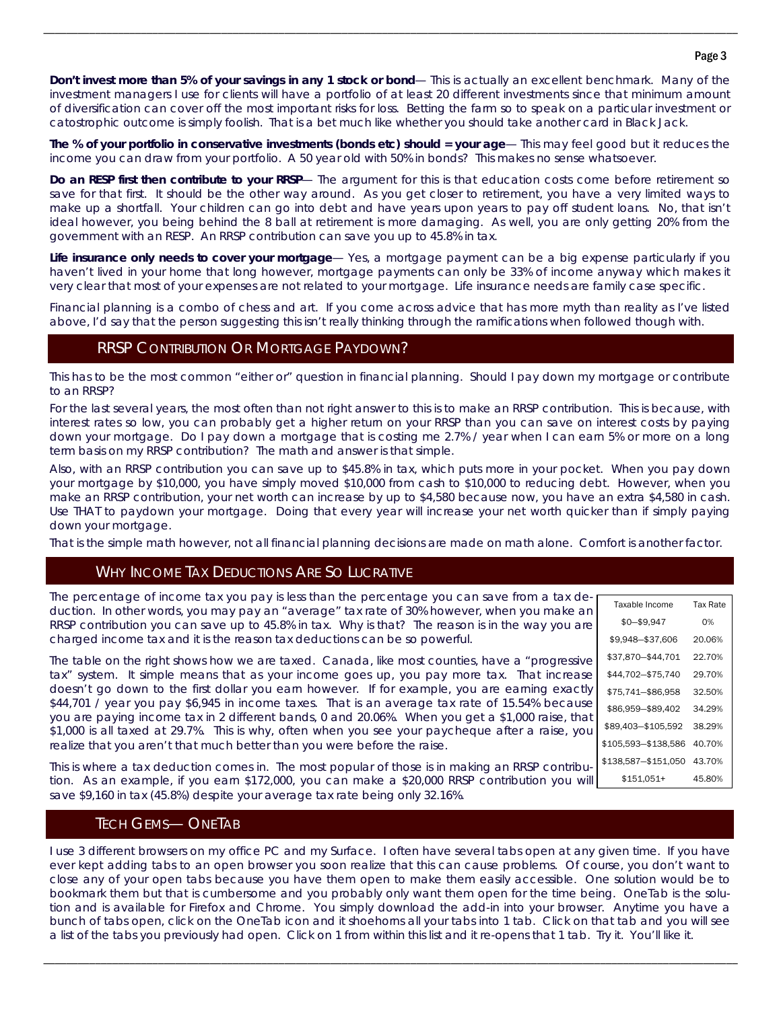#### Page 3

**Don't invest more than 5% of your savings in any 1 stock or bond**— This is actually an excellent benchmark. Many of the investment managers I use for clients will have a portfolio of at least 20 different investments since that minimum amount of diversification can cover off the most important risks for loss. Betting the farm so to speak on a particular investment or catostrophic outcome is simply foolish. That is a bet much like whether you should take another card in Black Jack.

\_\_\_\_\_\_\_\_\_\_\_\_\_\_\_\_\_\_\_\_\_\_\_\_\_\_\_\_\_\_\_\_\_\_\_\_\_\_\_\_\_\_\_\_\_\_\_\_\_\_\_\_\_\_\_\_\_\_\_\_\_\_\_\_\_\_\_\_\_\_\_\_\_\_\_\_\_\_\_\_\_\_\_\_\_\_\_\_\_\_\_\_\_\_\_\_\_\_\_\_\_\_\_\_\_\_\_\_\_\_\_\_\_\_\_\_\_\_\_\_\_

**The % of your portfolio in conservative investments (bonds etc) should = your age**— This may feel good but it reduces the income you can draw from your portfolio. A 50 year old with 50% in bonds? This makes no sense whatsoever.

**Do an RESP first then contribute to your RRSP**— The argument for this is that education costs come before retirement so save for that first. It should be the other way around. As you get closer to retirement, you have a very limited ways to make up a shortfall. Your children can go into debt and have years upon years to pay off student loans. No, that isn't ideal however, you being behind the 8 ball at retirement is more damaging. As well, you are only getting 20% from the government with an RESP. An RRSP contribution can save you up to 45.8% in tax.

**Life insurance only needs to cover your mortgage**— Yes, a mortgage payment can be a big expense particularly if you haven't lived in your home that long however, mortgage payments can only be 33% of income anyway which makes it very clear that most of your expenses are not related to your mortgage. Life insurance needs are family case specific.

Financial planning is a combo of chess and art. If you come across advice that has more myth than reality as I've listed above, I'd say that the person suggesting this isn't really thinking through the ramifications when followed though with.

# RRSP CONTRIBUTION OR MORTGAGE PAYDOWN?

This has to be the most common "either or" question in financial planning. Should I pay down my mortgage or contribute to an RRSP?

For the last several years, the most often than not right answer to this is to make an RRSP contribution. This is because, with interest rates so low, you can probably get a higher return on your RRSP than you can save on interest costs by paying down your mortgage. Do I pay down a mortgage that is costing me 2.7% / year when I can earn 5% or more on a long term basis on my RRSP contribution? The math and answer is that simple.

Also, with an RRSP contribution you can save up to \$45.8% in tax, which puts more in your pocket. When you pay down your mortgage by \$10,000, you have simply moved \$10,000 from cash to \$10,000 to reducing debt. However, when you make an RRSP contribution, your net worth can increase by up to \$4,580 because now, you have an extra \$4,580 in cash. Use THAT to paydown your mortgage. Doing that every year will increase your net worth quicker than if simply paying down your mortgage.

That is the simple math however, not all financial planning decisions are made on math alone. Comfort is another factor.

# WHY INCOME TAX DEDUCTIONS ARE SO LUCRATIVE

The percentage of income tax you pay is less than the percentage you can save from a tax deduction. In other words, you may pay an "average" tax rate of 30% however, when you make an RRSP contribution you can save up to 45.8% in tax. Why is that? The reason is in the way you are charged income tax and it is the reason tax deductions can be so powerful.

The table on the right shows how we are taxed. Canada, like most counties, have a "progressive tax" system. It simple means that as your income goes up, you pay more tax. That increase doesn't go down to the first dollar you earn however. If for example, you are earning exactly \$44,701 / year you pay \$6,945 in income taxes. That is an average tax rate of 15.54% because you are paying income tax in 2 different bands, 0 and 20.06%. When you get a \$1,000 raise, that \$1,000 is all taxed at 29.7%. This is why, often when you see your paycheque after a raise, you realize that you aren't that much better than you were before the raise.

| Taxable Income      | Tax Rate |
|---------------------|----------|
| $$0 - $9,947$       | ሰ%       |
| \$9.948-\$37.606    | 20.06%   |
| \$37,870-\$44.701   | 22.70%   |
| \$44.702-\$75.740   | 29.70%   |
| \$75,741-\$86.958   | 32.50%   |
| \$86,959-\$89,402   | 34 29%   |
| \$89.403-\$105.592  | 38.29%   |
| \$105.593-\$138.586 | 40.70%   |
| \$138.587-\$151.050 | 43.70%   |
| \$151,051+          | 45.80%   |

This is where a tax deduction comes in. The most popular of those is in making an RRSP contribution. As an example, if you earn \$172,000, you can make a \$20,000 RRSP contribution you will save \$9,160 in tax (45.8%) despite your average tax rate being only 32.16%.

# TECH GEMS— ONETAB

I use 3 different browsers on my office PC and my Surface. I often have several tabs open at any given time. If you have ever kept adding tabs to an open browser you soon realize that this can cause problems. Of course, you don't want to close any of your open tabs because you have them open to make them easily accessible. One solution would be to bookmark them but that is cumbersome and you probably only want them open for the time being. OneTab is the solution and is available for Firefox and Chrome. You simply download the add-in into your browser. Anytime you have a bunch of tabs open, click on the OneTab icon and it shoehorns all your tabs into 1 tab. Click on that tab and you will see a list of the tabs you previously had open. Click on 1 from within this list and it re-opens that 1 tab. Try it. You'll like it.